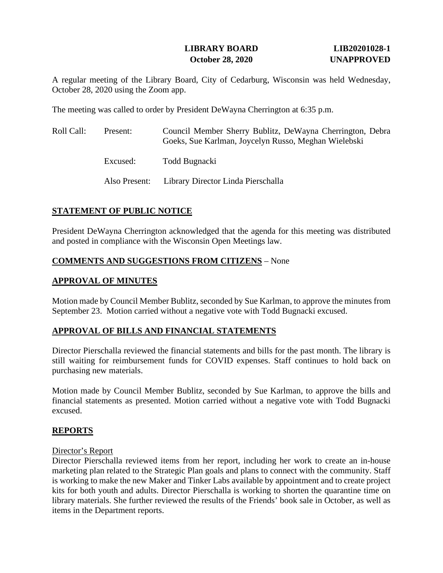# **LIBRARY BOARD LIB20201028-1 October 28, 2020 UNAPPROVED**

A regular meeting of the Library Board, City of Cedarburg, Wisconsin was held Wednesday, October 28, 2020 using the Zoom app.

The meeting was called to order by President DeWayna Cherrington at 6:35 p.m.

| Roll Call: | Present: | Council Member Sherry Bublitz, DeWayna Cherrington, Debra<br>Goeks, Sue Karlman, Joycelyn Russo, Meghan Wielebski |
|------------|----------|-------------------------------------------------------------------------------------------------------------------|
|            | Excused: | Todd Bugnacki                                                                                                     |
|            |          | Also Present: Library Director Linda Pierschalla                                                                  |

## **STATEMENT OF PUBLIC NOTICE**

President DeWayna Cherrington acknowledged that the agenda for this meeting was distributed and posted in compliance with the Wisconsin Open Meetings law.

## **COMMENTS AND SUGGESTIONS FROM CITIZENS** – None

## **APPROVAL OF MINUTES**

Motion made by Council Member Bublitz, seconded by Sue Karlman, to approve the minutes from September 23. Motion carried without a negative vote with Todd Bugnacki excused.

#### **APPROVAL OF BILLS AND FINANCIAL STATEMENTS**

Director Pierschalla reviewed the financial statements and bills for the past month. The library is still waiting for reimbursement funds for COVID expenses. Staff continues to hold back on purchasing new materials.

Motion made by Council Member Bublitz, seconded by Sue Karlman, to approve the bills and financial statements as presented. Motion carried without a negative vote with Todd Bugnacki excused.

#### **REPORTS**

#### Director's Report

Director Pierschalla reviewed items from her report, including her work to create an in-house marketing plan related to the Strategic Plan goals and plans to connect with the community. Staff is working to make the new Maker and Tinker Labs available by appointment and to create project kits for both youth and adults. Director Pierschalla is working to shorten the quarantine time on library materials. She further reviewed the results of the Friends' book sale in October, as well as items in the Department reports.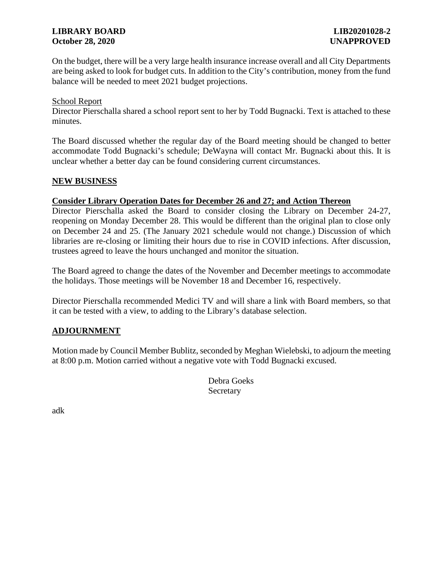## **LIBRARY BOARD LIB20201028-2 October 28, 2020 UNAPPROVED**

On the budget, there will be a very large health insurance increase overall and all City Departments are being asked to look for budget cuts. In addition to the City's contribution, money from the fund balance will be needed to meet 2021 budget projections.

#### School Report

Director Pierschalla shared a school report sent to her by Todd Bugnacki. Text is attached to these minutes.

The Board discussed whether the regular day of the Board meeting should be changed to better accommodate Todd Bugnacki's schedule; DeWayna will contact Mr. Bugnacki about this. It is unclear whether a better day can be found considering current circumstances.

## **NEW BUSINESS**

#### **Consider Library Operation Dates for December 26 and 27; and Action Thereon**

Director Pierschalla asked the Board to consider closing the Library on December 24-27, reopening on Monday December 28. This would be different than the original plan to close only on December 24 and 25. (The January 2021 schedule would not change.) Discussion of which libraries are re-closing or limiting their hours due to rise in COVID infections. After discussion, trustees agreed to leave the hours unchanged and monitor the situation.

The Board agreed to change the dates of the November and December meetings to accommodate the holidays. Those meetings will be November 18 and December 16, respectively.

Director Pierschalla recommended Medici TV and will share a link with Board members, so that it can be tested with a view, to adding to the Library's database selection.

## **ADJOURNMENT**

Motion made by Council Member Bublitz, seconded by Meghan Wielebski, to adjourn the meeting at 8:00 p.m. Motion carried without a negative vote with Todd Bugnacki excused.

> Debra Goeks Secretary

adk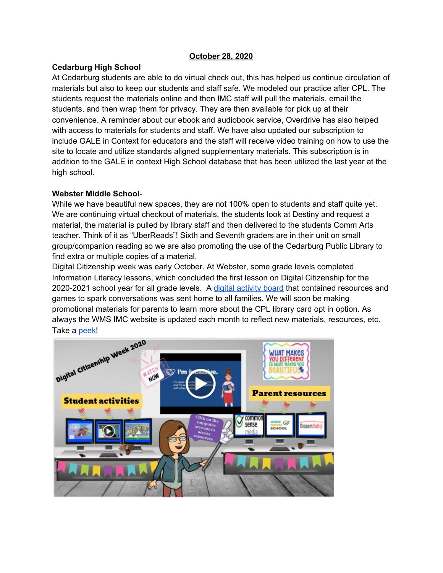#### **October 28, 2020**

## **Cedarburg High School**

At Cedarburg students are able to do virtual check out, this has helped us continue circulation of materials but also to keep our students and staff safe. We modeled our practice after CPL. The students request the materials online and then IMC staff will pull the materials, email the students, and then wrap them for privacy. They are then available for pick up at their convenience. A reminder about our ebook and audiobook service, Overdrive has also helped with access to materials for students and staff. We have also updated our subscription to include GALE in Context for educators and the staff will receive video training on how to use the site to locate and utilize standards aligned supplementary materials. This subscription is in addition to the GALE in context High School database that has been utilized the last year at the high school.

## **Webster Middle School**-

While we have beautiful new spaces, they are not 100% open to students and staff quite yet. We are continuing virtual checkout of materials, the students look at Destiny and request a material, the material is pulled by library staff and then delivered to the students Comm Arts teacher. Think of it as "UberReads"! Sixth and Seventh graders are in their unit on small group/companion reading so we are also promoting the use of the Cedarburg Public Library to find extra or multiple copies of a material.

Digital Citizenship week was early October. At Webster, some grade levels completed Information Literacy lessons, which concluded the first lesson on Digital Citizenship for the 2020-2021 school year for all grade levels. A digital activity board that contained resources and games to spark conversations was sent home to all families. We will soon be making promotional materials for parents to learn more about the CPL library card opt in option. As always the WMS IMC website is updated each month to reflect new materials, resources, etc.